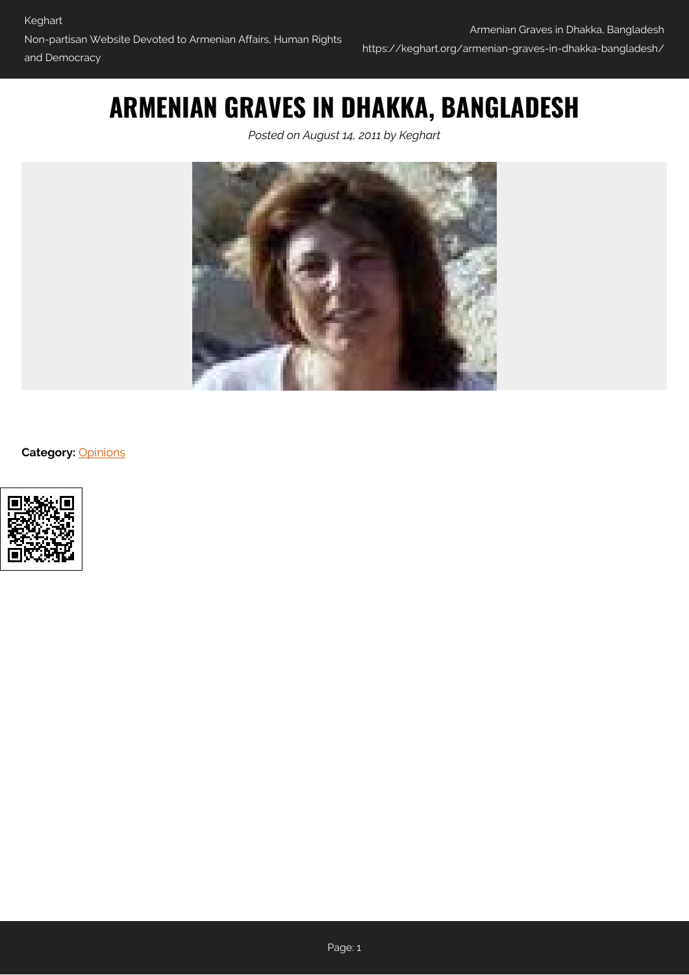## **ARMENIAN GRAVES IN DHAKKA, BANGLADESH**

*Posted on August 14, 2011 by Keghart*



**Category:** [Opinions](https://keghart.org/category/opinions/)

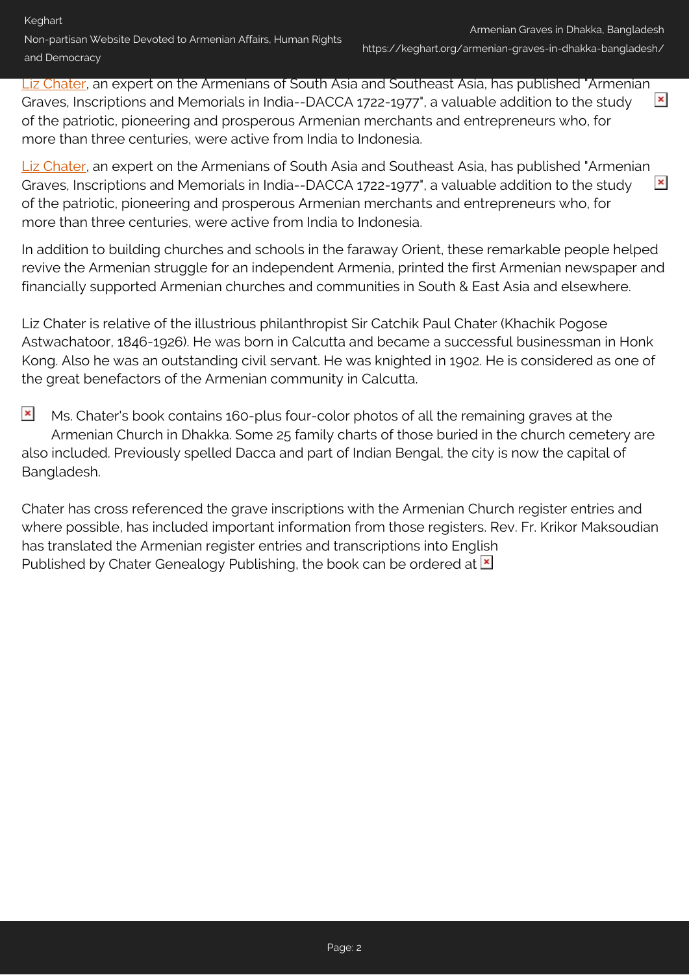[Liz Chater](http://www.chater-genealogy.com/), an expert on the Armenians of South Asia and Southeast Asia, has published "Armenian  $\pmb{\times}$ Graves, Inscriptions and Memorials in India--DACCA 1722-1977", a valuable addition to the study of the patriotic, pioneering and prosperous Armenian merchants and entrepreneurs who, for more than three centuries, were active from India to Indonesia.

[Liz Chater](http://www.chater-genealogy.com/), an expert on the Armenians of South Asia and Southeast Asia, has published "Armenian Graves, Inscriptions and Memorials in India--DACCA 1722-1977", a valuable addition to the study  $\pmb{\times}$ of the patriotic, pioneering and prosperous Armenian merchants and entrepreneurs who, for more than three centuries, were active from India to Indonesia.

In addition to building churches and schools in the faraway Orient, these remarkable people helped revive the Armenian struggle for an independent Armenia, printed the first Armenian newspaper and financially supported Armenian churches and communities in South & East Asia and elsewhere.

Liz Chater is relative of the illustrious philanthropist Sir Catchik Paul Chater (Khachik Pogose Astwachatoor, 1846-1926). He was born in Calcutta and became a successful businessman in Honk Kong. Also he was an outstanding civil servant. He was knighted in 1902. He is considered as one of the great benefactors of the Armenian community in Calcutta.

 $\pmb{\times}$ Ms. Chater's book contains 160-plus four-color photos of all the remaining graves at the Armenian Church in Dhakka. Some 25 family charts of those buried in the church cemetery are also included. Previously spelled Dacca and part of Indian Bengal, the city is now the capital of Bangladesh.

Chater has cross referenced the grave inscriptions with the Armenian Church register entries and where possible, has included important information from those registers. Rev. Fr. Krikor Maksoudian has translated the Armenian register entries and transcriptions into English Publishedby Chater Genealogy Publishing, the book can be ordered at  $\blacksquare$